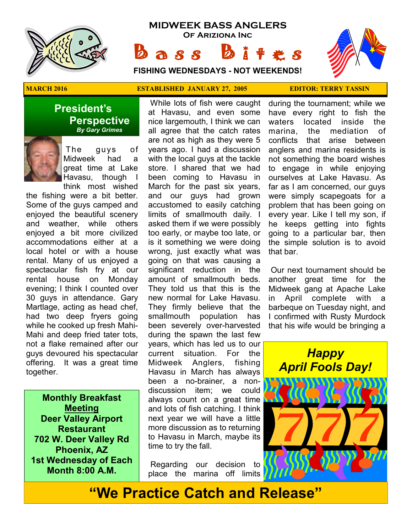

## **MIDWEEK BASS ANGLERS Of Ariziona Inc**

**a** s s **FISHING WEDNESDAYS - NOT WEEKENDS!**



### **President's Perspective**   *By Gary Grimes*

 The guys of Midweek had a great time at Lake Havasu, though I think most wished

the fishing were a bit better. Some of the guys camped and enjoyed the beautiful scenery and weather, while others enjoyed a bit more civilized accommodations either at a local hotel or with a house rental. Many of us enjoyed a spectacular fish fry at our rental house on Monday evening; I think I counted over 30 guys in attendance. Gary Martlage, acting as head chef, had two deep fryers going while he cooked up fresh Mahi-Mahi and deep fried tater tots, not a flake remained after our guys devoured his spectacular offering. It was a great time together.

**Monthly Breakfast Meeting Deer Valley Airport Restaurant 702 W. Deer Valley Rd Phoenix, AZ 1st Wednesday of Each Month 8:00 A.M.** 

 While lots of fish were caught at Havasu, and even some nice largemouth, I think we can all agree that the catch rates are not as high as they were 5 years ago. I had a discussion with the local guys at the tackle store. I shared that we had been coming to Havasu in March for the past six years, and our guys had grown accustomed to easily catching limits of smallmouth daily. I asked them if we were possibly too early, or maybe too late, or is it something we were doing wrong, just exactly what was going on that was causing a significant reduction in the amount of smallmouth beds. They told us that this is the new normal for Lake Havasu. They firmly believe that the smallmouth population has been severely over-harvested during the spawn the last few years, which has led us to our current situation. For the Midweek Anglers, fishing Havasu in March has always been a no-brainer, a nondiscussion item; we could always count on a great time and lots of fish catching. I think next year we will have a little more discussion as to returning to Havasu in March, maybe its time to try the fall.

 Regarding our decision to place the marina off limits

**MARCH 2016 ESTABLISHED JANUARY 27, 2005 EDITOR: TERRY TASSIN** 

during the tournament; while we have every right to fish the waters located inside the marina, the mediation of conflicts that arise between anglers and marina residents is not something the board wishes to engage in while enjoying ourselves at Lake Havasu. As far as I am concerned, our guys were simply scapegoats for a problem that has been going on every year. Like I tell my son, if he keeps getting into fights going to a particular bar, then the simple solution is to avoid that bar.

 Our next tournament should be another great time for the Midweek gang at Apache Lake in April complete with a barbeque on Tuesday night, and I confirmed with Rusty Murdock that his wife would be bringing a



# **"We Practice Catch and Release"**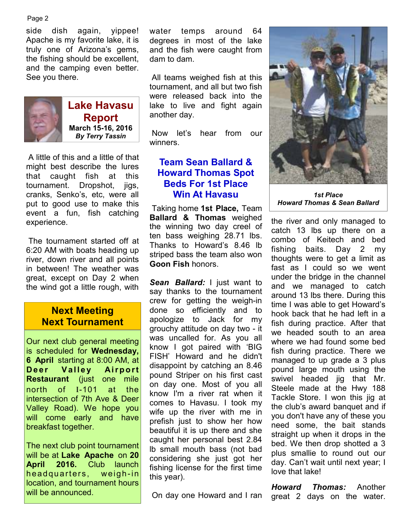Page 2

side dish again, yippee! Apache is my favorite lake, it is truly one of Arizona's gems, the fishing should be excellent, and the camping even better. See you there.



**Lake Havasu Report March 15-16, 2016**  *By Terry Tassin* 

 A little of this and a little of that might best describe the lures that caught fish at this tournament. Dropshot, jigs, cranks, Senko's, etc, were all put to good use to make this event a fun, fish catching experience.

 The tournament started off at 6:20 AM with boats heading up river, down river and all points in between! The weather was great, except on Day 2 when the wind got a little rough, with

#### **Next Meeting Next Tournament**

Our next club general meeting is scheduled for **Wednesday, 6 April** starting at 8:00 AM, at **Deer Valley Airport Restaurant** (just one mile north of I-101 at the intersection of 7th Ave & Deer Valley Road). We hope you will come early and have breakfast together.

The next club point tournament will be at **Lake Apache** on **20 April 2016.** Club launch headquarters, weigh-in location, and tournament hours will be announced.

water temps around 64 degrees in most of the lake and the fish were caught from dam to dam.

 All teams weighed fish at this tournament, and all but two fish were released back into the lake to live and fight again another day.

 Now let's hear from our winners.

#### **Team Sean Ballard & Howard Thomas Spot Beds For 1st Place Win At Havasu**

 Taking home **1st Place,** Team **Ballard & Thomas** weighed the winning two day creel of ten bass weighing 28.71 lbs. Thanks to Howard's 8.46 lb striped bass the team also won **Goon Fish** honors.

*Sean Ballard:* I just want to say thanks to the tournament crew for getting the weigh-in done so efficiently and to apologize to Jack for my grouchy attitude on day two - it was uncalled for. As you all know I got paired with 'BIG FISH' Howard and he didn't disappoint by catching an 8.46 pound Striper on his first cast on day one. Most of you all know I'm a river rat when it comes to Havasu. I took my wife up the river with me in prefish just to show her how beautiful it is up there and she caught her personal best 2.84 lb small mouth bass (not bad considering she just got her fishing license for the first time this year).

On day one Howard and I ran



*1st Place Howard Thomas & Sean Ballard* 

the river and only managed to catch 13 lbs up there on a combo of Keitech and bed fishing baits. Day 2 my thoughts were to get a limit as fast as I could so we went under the bridge in the channel and we managed to catch around 13 lbs there. During this time I was able to get Howard's hook back that he had left in a fish during practice. After that we headed south to an area where we had found some bed fish during practice. There we managed to up grade a 3 plus pound large mouth using the swivel headed jig that Mr. Steele made at the Hwy 188 Tackle Store. I won this jig at the club's award banquet and if you don't have any of these you need some, the bait stands straight up when it drops in the bed. We then drop shotted a 3 plus smallie to round out our day. Can't wait until next year; I love that lake!

*Howard Thomas:* Another great 2 days on the water.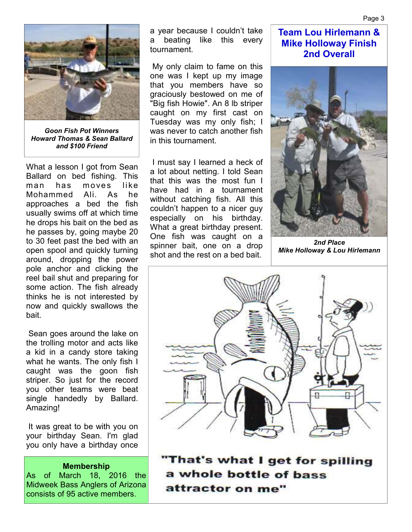

*Goon Fish Pot Winners Howard Thomas & Sean Ballard and \$100 Friend*

What a lesson I got from Sean Ballard on bed fishing. This man has moves like Mohammed Ali. As he approaches a bed the fish usually swims off at which time he drops his bait on the bed as he passes by, going maybe 20 to 30 feet past the bed with an open spool and quickly turning around, dropping the power pole anchor and clicking the reel bail shut and preparing for some action. The fish already thinks he is not interested by now and quickly swallows the bait.

 Sean goes around the lake on the trolling motor and acts like a kid in a candy store taking what he wants. The only fish I caught was the goon fish striper. So just for the record you other teams were beat single handedly by Ballard. Amazing!

 It was great to be with you on your birthday Sean. I'm glad you only have a birthday once

**Membership** As of March 18, 2016 the Midweek Bass Anglers of Arizona consists of 95 active members.

a year because I couldn't take a beating like this every tournament.

 My only claim to fame on this one was I kept up my image that you members have so graciously bestowed on me of "Big fish Howie". An 8 lb striper caught on my first cast on Tuesday was my only fish; I was never to catch another fish in this tournament.

 I must say I learned a heck of a lot about netting. I told Sean that this was the most fun I have had in a tournament without catching fish. All this couldn't happen to a nicer guy especially on his birthday. What a great birthday present. One fish was caught on a spinner bait, one on a drop shot and the rest on a bed bait.

### **Team Lou Hirlemann & Mike Holloway Finish 2nd Overall**



*2nd Place Mike Holloway & Lou Hirlemann* 



That's what I get for spilling a whole bottle of bass attractor on me"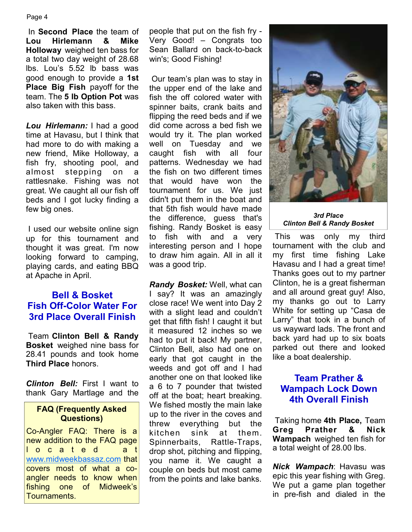In **Second Place** the team of **Lou Hirlemann & Mike Holloway** weighed ten bass for a total two day weight of 28.68 lbs. Lou's 5.52 lb bass was good enough to provide a **1st Place Big Fish** payoff for the team. The **5 lb Option Pot** was also taken with this bass.

*Lou Hirlemann:* I had a good time at Havasu, but I think that had more to do with making a new friend, Mike Holloway, a fish fry, shooting pool, and almost stepping on a rattlesnake. Fishing was not great. We caught all our fish off beds and I got lucky finding a few big ones.

 I used our website online sign up for this tournament and thought it was great. I'm now looking forward to camping, playing cards, and eating BBQ at Apache in April.

#### **Bell & Bosket Fish Off-Color Water For 3rd Place Overall Finish**

 Team **Clinton Bell & Randy Bosket** weighed nine bass for 28.41 pounds and took home **Third Place** honors.

*Clinton Bell:* First I want to thank Gary Martlage and the

#### **FAQ (Frequently Asked Questions)**

Co-Angler FAQ: There is a new addition to the FAQ page located at www.midweekbassaz.com that covers most of what a coangler needs to know when fishing one of Midweek's Tournaments.

people that put on the fish fry - Very Good! – Congrats too Sean Ballard on back-to-back win's; Good Fishing!

 Our team's plan was to stay in the upper end of the lake and fish the off colored water with spinner baits, crank baits and flipping the reed beds and if we did come across a bed fish we would try it. The plan worked well on Tuesday and we caught fish with all four patterns. Wednesday we had the fish on two different times that would have won the tournament for us. We just didn't put them in the boat and that 5th fish would have made the difference, guess that's fishing. Randy Bosket is easy to fish with and a very interesting person and I hope to draw him again. All in all it was a good trip.

*Randy Bosket:* Well, what can I say? It was an amazingly close race! We went into Day 2 with a slight lead and couldn't get that fifth fish! I caught it but it measured 12 inches so we had to put it back! My partner, Clinton Bell, also had one on early that got caught in the weeds and got off and I had another one on that looked like a 6 to 7 pounder that twisted off at the boat; heart breaking. We fished mostly the main lake up to the river in the coves and threw everything but the kitchen sink at them. Spinnerbaits, Rattle-Traps, drop shot, pitching and flipping, you name it. We caught a couple on beds but most came from the points and lake banks.



*3rd Place Clinton Bell & Randy Bosket* 

 This was only my third tournament with the club and my first time fishing Lake Havasu and I had a great time! Thanks goes out to my partner Clinton, he is a great fisherman and all around great guy! Also, my thanks go out to Larry White for setting up "Casa de Larry" that took in a bunch of us wayward lads. The front and back yard had up to six boats parked out there and looked like a boat dealership.

#### **Team Prather & Wampach Lock Down 4th Overall Finish**

 Taking home **4th Place,** Team **Greg Prather & Nick Wampach** weighed ten fish for a total weight of 28.00 lbs.

*Nick Wampach*: Havasu was epic this year fishing with Greg. We put a game plan together in pre-fish and dialed in the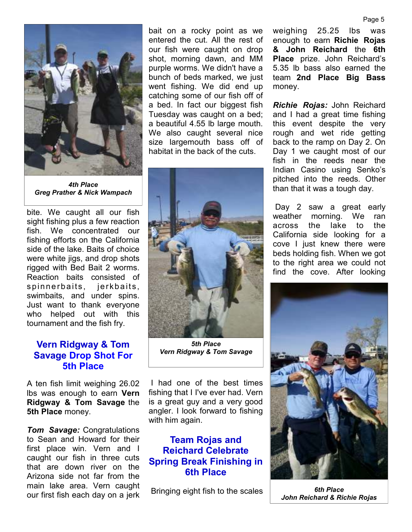

*4th Place Greg Prather & Nick Wampach* 

bite. We caught all our fish sight fishing plus a few reaction fish. We concentrated our fishing efforts on the California side of the lake. Baits of choice were white jigs, and drop shots rigged with Bed Bait 2 worms. Reaction baits consisted of spinnerbaits, jerkbaits, swimbaits, and under spins. Just want to thank everyone who helped out with this tournament and the fish fry.

#### **Vern Ridgway & Tom Savage Drop Shot For 5th Place**

A ten fish limit weighing 26.02 lbs was enough to earn **Vern Ridgway & Tom Savage** the **5th Place** money.

*Tom Savage:* Congratulations to Sean and Howard for their first place win. Vern and I caught our fish in three cuts that are down river on the Arizona side not far from the main lake area. Vern caught our first fish each day on a jerk bait on a rocky point as we entered the cut. All the rest of our fish were caught on drop shot, morning dawn, and MM purple worms. We didn't have a bunch of beds marked, we just went fishing. We did end up catching some of our fish off of a bed. In fact our biggest fish Tuesday was caught on a bed; a beautiful 4.55 lb large mouth. We also caught several nice size largemouth bass off of habitat in the back of the cuts.



*5th Place Vern Ridgway & Tom Savage* 

 I had one of the best times fishing that I I've ever had. Vern is a great guy and a very good angler. I look forward to fishing with him again.

#### **Team Rojas and Reichard Celebrate Spring Break Finishing in 6th Place**

Bringing eight fish to the scales

weighing 25.25 lbs was enough to earn **Richie Rojas & John Reichard** the **6th Place** prize. John Reichard's 5.35 lb bass also earned the team **2nd Place Big Bass**  money.

*Richie Rojas:* John Reichard and I had a great time fishing this event despite the very rough and wet ride getting back to the ramp on Day 2. On Day 1 we caught most of our fish in the reeds near the Indian Casino using Senko's pitched into the reeds. Other than that it was a tough day.

 Day 2 saw a great early weather morning. We ran across the lake to the California side looking for a cove I just knew there were beds holding fish. When we got to the right area we could not find the cove. After looking



*6th Place John Reichard & Richie Rojas*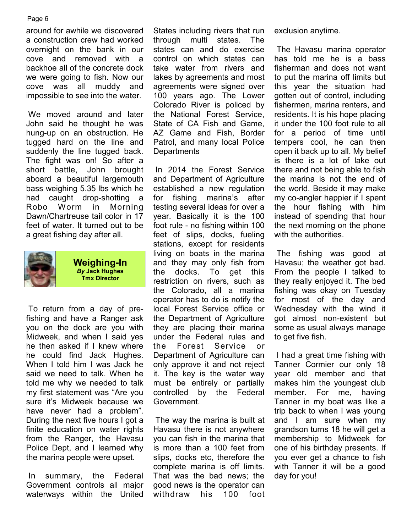#### Page 6

around for awhile we discovered a construction crew had worked overnight on the bank in our cove and removed with a backhoe all of the concrete dock we were going to fish. Now our cove was all muddy and impossible to see into the water.

 We moved around and later John said he thought he was hung-up on an obstruction. He tugged hard on the line and suddenly the line tugged back. The fight was on! So after a short battle, John brought aboard a beautiful largemouth bass weighing 5.35 lbs which he had caught drop-shotting a Robo Worm in Morning Dawn/Chartreuse tail color in 17 feet of water. It turned out to be a great fishing day after all.



**Weighing-In**  *By* **Jack Hughes Tmx Director**

 To return from a day of prefishing and have a Ranger ask you on the dock are you with Midweek, and when I said yes he then asked if I knew where he could find Jack Hughes. When I told him I was Jack he said we need to talk. When he told me why we needed to talk my first statement was "Are you sure it's Midweek because we have never had a problem". During the next five hours I got a finite education on water rights from the Ranger, the Havasu Police Dept, and I learned why the marina people were upset.

 In summary, the Federal Government controls all major waterways within the United

States including rivers that run through multi states. The states can and do exercise control on which states can take water from rivers and lakes by agreements and most agreements were signed over 100 years ago. The Lower Colorado River is policed by the National Forest Service, State of CA Fish and Game, AZ Game and Fish, Border Patrol, and many local Police **Departments** 

 In 2014 the Forest Service and Department of Agriculture established a new regulation for fishing marina's after testing several ideas for over a year. Basically it is the 100 foot rule - no fishing within 100 feet of slips, docks, fueling stations, except for residents living on boats in the marina and they may only fish from the docks. To get this restriction on rivers, such as the Colorado, all a marina operator has to do is notify the local Forest Service office or the Department of Agriculture they are placing their marina under the Federal rules and the Forest Service or Department of Agriculture can only approve it and not reject it. The key is the water way must be entirely or partially controlled by the Federal Government.

 The way the marina is built at Havasu there is not anywhere you can fish in the marina that is more than a 100 feet from slips, docks etc, therefore the complete marina is off limits. That was the bad news; the good news is the operator can withdraw his 100 foot

exclusion anytime.

 The Havasu marina operator has told me he is a bass fisherman and does not want to put the marina off limits but this year the situation had gotten out of control, including fishermen, marina renters, and residents. It is his hope placing it under the 100 foot rule to all for a period of time until tempers cool, he can then open it back up to all. My belief is there is a lot of lake out there and not being able to fish the marina is not the end of the world. Beside it may make my co-angler happier if I spent the hour fishing with him instead of spending that hour the next morning on the phone with the authorities.

 The fishing was good at Havasu; the weather got bad. From the people I talked to they really enjoyed it. The bed fishing was okay on Tuesday for most of the day and Wednesday with the wind it got almost non-existent but some as usual always manage to get five fish.

 I had a great time fishing with Tanner Cormier our only 18 year old member and that makes him the youngest club member. For me, having Tanner in my boat was like a trip back to when I was young and I am sure when my grandson turns 18 he will get a membership to Midweek for one of his birthday presents. If you ever get a chance to fish with Tanner it will be a good day for you!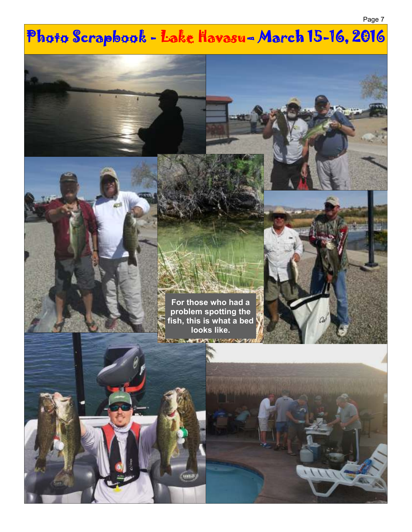# Photo Scrapbook - Lake Havasu-March 15-16, 2016





**LEMINARY**